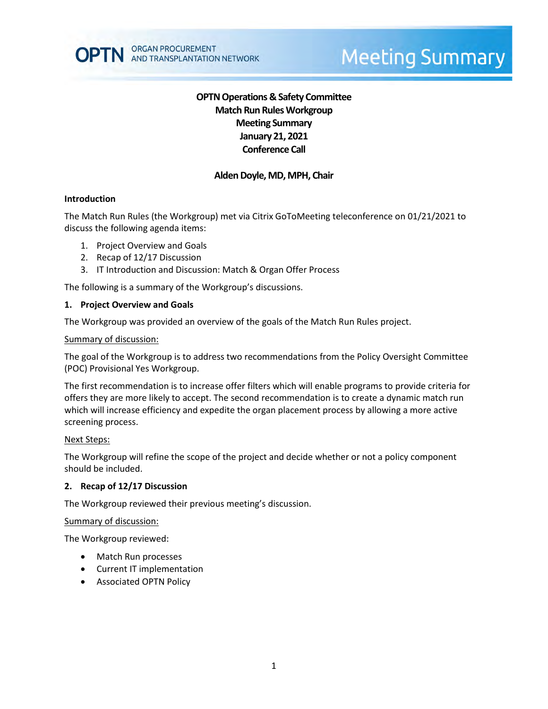# **OPTN Operations & Safety Committee Match Run RulesWorkgroup Meeting Summary January 21, 2021 Conference Call**

# **Alden Doyle, MD, MPH, Chair**

### **Introduction**

The Match Run Rules (the Workgroup) met via Citrix GoToMeeting teleconference on 01/21/2021 to discuss the following agenda items:

- 1. Project Overview and Goals
- 2. Recap of 12/17 Discussion
- 3. IT Introduction and Discussion: Match & Organ Offer Process

The following is a summary of the Workgroup's discussions.

### **1. Project Overview and Goals**

The Workgroup was provided an overview of the goals of the Match Run Rules project.

### Summary of discussion:

The goal of the Workgroup is to address two recommendations from the Policy Oversight Committee (POC) Provisional Yes Workgroup.

The first recommendation is to increase offer filters which will enable programs to provide criteria for offers they are more likely to accept. The second recommendation is to create a dynamic match run which will increase efficiency and expedite the organ placement process by allowing a more active screening process.

### Next Steps:

The Workgroup will refine the scope of the project and decide whether or not a policy component should be included.

### **2. Recap of 12/17 Discussion**

The Workgroup reviewed their previous meeting's discussion.

### Summary of discussion:

The Workgroup reviewed:

- Match Run processes
- Current IT implementation
- Associated OPTN Policy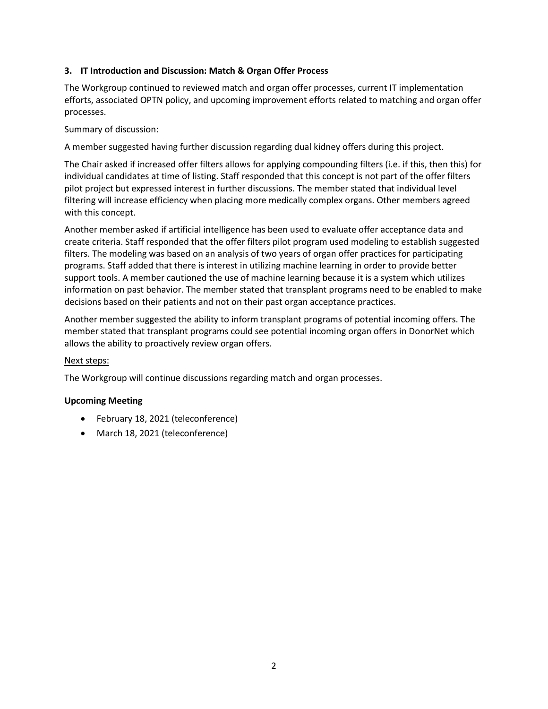# **3. IT Introduction and Discussion: Match & Organ Offer Process**

The Workgroup continued to reviewed match and organ offer processes, current IT implementation efforts, associated OPTN policy, and upcoming improvement efforts related to matching and organ offer processes.

# Summary of discussion:

A member suggested having further discussion regarding dual kidney offers during this project.

The Chair asked if increased offer filters allows for applying compounding filters (i.e. if this, then this) for individual candidates at time of listing. Staff responded that this concept is not part of the offer filters pilot project but expressed interest in further discussions. The member stated that individual level filtering will increase efficiency when placing more medically complex organs. Other members agreed with this concept.

Another member asked if artificial intelligence has been used to evaluate offer acceptance data and create criteria. Staff responded that the offer filters pilot program used modeling to establish suggested filters. The modeling was based on an analysis of two years of organ offer practices for participating programs. Staff added that there is interest in utilizing machine learning in order to provide better support tools. A member cautioned the use of machine learning because it is a system which utilizes information on past behavior. The member stated that transplant programs need to be enabled to make decisions based on their patients and not on their past organ acceptance practices.

Another member suggested the ability to inform transplant programs of potential incoming offers. The member stated that transplant programs could see potential incoming organ offers in DonorNet which allows the ability to proactively review organ offers.

## Next steps:

The Workgroup will continue discussions regarding match and organ processes.

## **Upcoming Meeting**

- February 18, 2021 (teleconference)
- March 18, 2021 (teleconference)